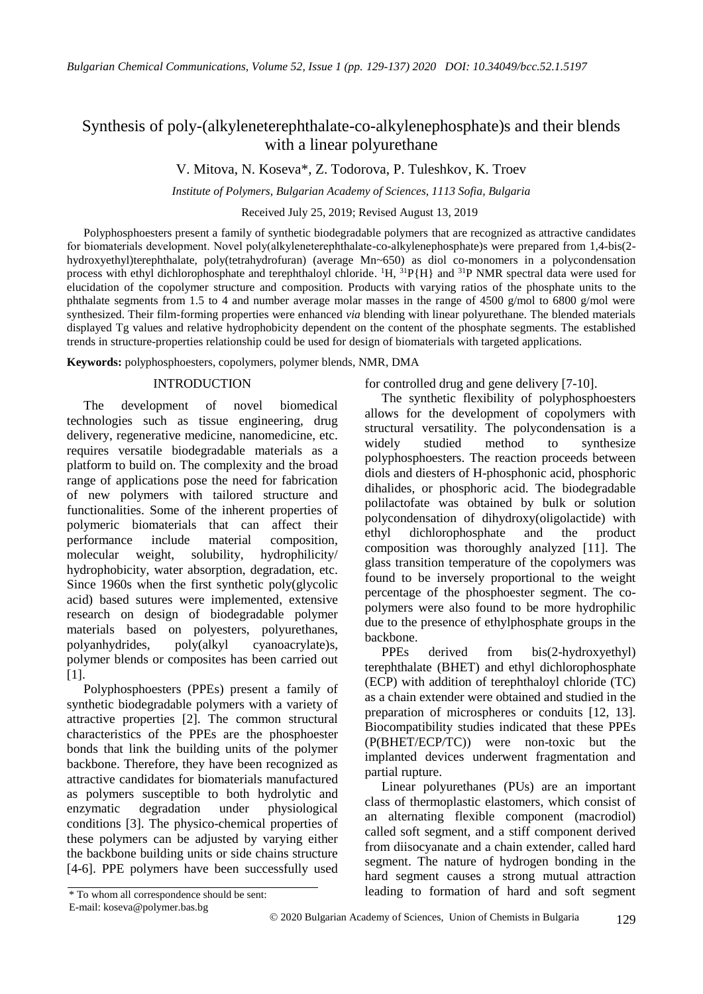# Synthesis of poly-(alkyleneterephthalаte-co-alkylenephosphate)s and their blends with a linear polyurethane

V. Mitova, N. Koseva\*, Z. Todorova, P. Tuleshkov, K. Troev

*Institute of Polymers, Bulgarian Academy of Sciences, 1113 Sofia, Bulgaria*

Received July 25, 2019; Revised August 13, 2019

Polyphosphoesters present a family of synthetic biodegradable polymers that are recognized as attractive candidates for biomaterials development. Novel poly(alkyleneterephthalаte-co-alkylenephosphate)s were prepared from 1,4-bis(2 hydroxyethyl)terephthalate, poly(tetrahydrofuran) (average Mn~650) as diol co-monomers in a polycondensation process with ethyl dichlorophosphate and terephthaloyl chloride. <sup>1</sup>H, <sup>31</sup>P{H} and <sup>31</sup>P NMR spectral data were used for elucidation of the copolymer structure and composition. Products with varying ratios of the phosphate units to the phthalate segments from 1.5 to 4 and number average molar masses in the range of 4500 g/mol to 6800 g/mol were synthesized. Their film-forming properties were enhanced *via* blending with linear polyurethane. The blended materials displayed Tg values and relative hydrophobicity dependent on the content of the phosphate segments. The established trends in structure-properties relationship could be used for design of biomaterials with targeted applications.

**Keywords:** polyphosphoesters, copolymers, polymer blends, NMR, DMA

# INTRODUCTION

The development of novel biomedical technologies such as tissue engineering, drug delivery, regenerative medicine, nanomedicine, etc. requires versatile biodegradable materials as a platform to build on. The complexity and the broad range of applications pose the need for fabrication of new polymers with tailored structure and functionalities. Some of the inherent properties of polymeric biomaterials that can affect their performance include material composition, molecular weight, solubility, hydrophilicity/ hydrophobicity, water absorption, degradation, etc. Since 1960s when the first synthetic poly(glycolic acid) based sutures were implemented, extensive research on design of biodegradable polymer materials based on polyesters, polyurethanes, polyanhydrides, poly(alkyl cyanoacrylate)s, polymer blends or composites has been carried out [1].

Polyphosphoesters (PPEs) present a family of synthetic biodegradable polymers with a variety of attractive properties [2]. The common structural characteristics of the PPEs are the phosphoester bonds that link the building units of the polymer backbone. Therefore, they have been recognized as attractive candidates for biomaterials manufactured as polymers susceptible to both hydrolytic and enzymatic degradation under physiological conditions [3]. The physico-chemical properties of these polymers can be adjusted by varying either the backbone building units or side chains structure [4-6]. PPE polymers have been successfully used for controlled drug and gene delivery [7-10].

The synthetic flexibility of polyphosphoesters allows for the development of copolymers with structural versatility. The polycondensation is a widely studied method to synthesize polyphosphoesters. The reaction proceeds between diols and diesters of H-phosphonic acid, phosphoric dihalides, or phosphoric acid. The biodegradable polilactofate was obtained by bulk or solution polycondensation of dihydroxy(oligolactide) with ethyl dichlorophosphate and the product composition was thoroughly analyzed [11]. The glass transition temperature of the copolymers was found to be inversely proportional to the weight percentage of the phosphoester segment. The copolymers were also found to be more hydrophilic due to the presence of ethylphosphate groups in the backbone.

PPEs derived from bis(2-hydroxyethyl) terephthalate (BHET) and ethyl dichlorophosphate (ECP) with addition of terephthaloyl chloride (TC) as a chain extender were obtained and studied in the preparation of microspheres or conduits [12, 13]. Biocompatibility studies indicated that these PPEs (P(BHET/ECP/TC)) were non-toxic but the implanted devices underwent fragmentation and partial rupture.

Linear polyurethanes (PUs) are an important class of thermoplastic elastomers, which consist of an alternating flexible component (macrodiol) called soft segment, and a stiff component derived from diisocyanate and a chain extender, called hard segment. The nature of hydrogen bonding in the hard segment causes a strong mutual attraction \* To whom all correspondence should be sent: leading to formation of hard and soft segment

E-mail: koseva@polymer.bas.bg

<sup>129</sup> 2020 Bulgarian Academy of Sciences, Union of Chemists in Bulgaria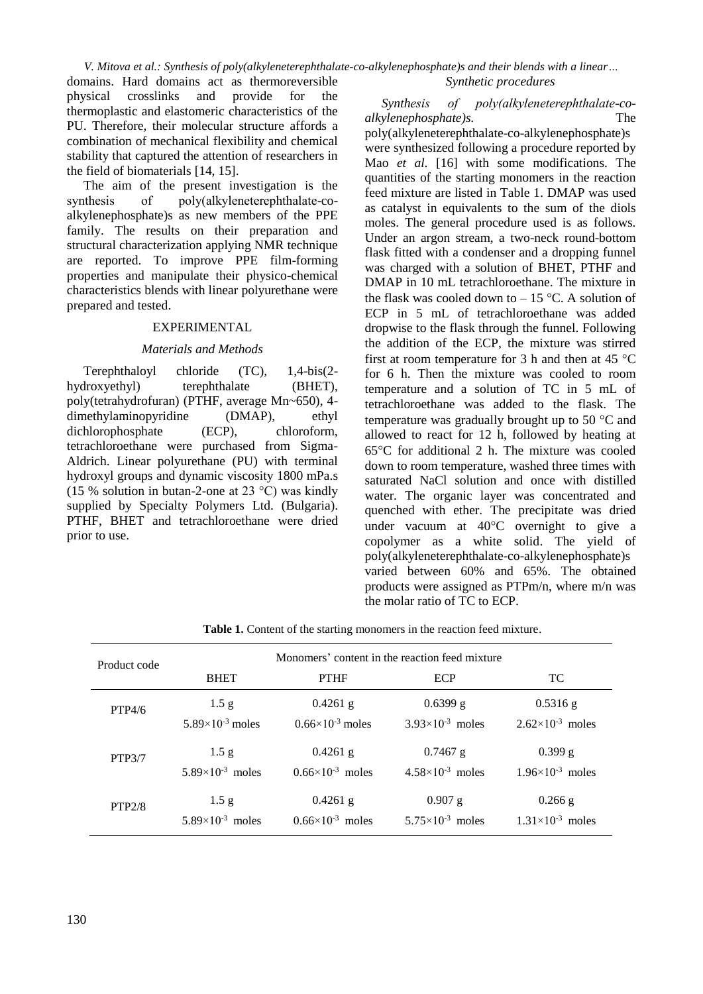*V. Mitova et al.: Synthesis of poly(alkyleneterephthalаte-co-alkylenephosphate)s and their blends with a linear…* domains. Hard domains act as thermoreversible *Synthetic procedures*

physical crosslinks and provide for thermoplastic and elastomeric characteristics of the PU. Therefore, their molecular structure affords a combination of mechanical flexibility and chemical stability that captured the attention of researchers in the field of biomaterials [14, 15].

The aim of the present investigation is the synthesis of poly(alkyleneterephthalate-coalkylenephosphate)s as new members of the PPE family. The results on their preparation and structural characterization applying NMR technique are reported. To improve PPE film-forming properties and manipulate their physico-chemical characteristics blends with linear polyurethane were prepared and tested.

#### EXPERIMENTAL

#### *Materials and Methods*

Terephthaloyl chloride (TC), 1,4-bis(2 hydroxyethyl) terephthalate (BHET), poly(tetrahydrofuran) (PTHF, average Mn~650), 4 dimethylaminopyridine (DMAP), ethyl dichlorophosphate (ECP), chloroform, tetrachloroethane were purchased from Sigma-Aldrich. Linear polyurethane (PU) with terminal hydroxyl groups and dynamic viscosity 1800 mPa.s (15 % solution in butan-2-one at 23 °C) was kindly supplied by Specialty Polymers Ltd. (Bulgaria). PTHF, BHET and tetrachloroethane were dried prior to use.

*Synthesis of poly(alkyleneterephthalаte-coalkylenephosphate)s.* The

poly(alkyleneterephthalаte-co-alkylenephosphate)s were synthesized following a procedure reported by Mao *et al.* [16] with some modifications. The quantities of the starting monomers in the reaction feed mixture are listed in Table 1. DMAP was used as catalyst in equivalents to the sum of the diols moles. The general procedure used is as follows. Under an argon stream, a two-neck round-bottom flask fitted with a condenser and a dropping funnel was charged with a solution of BHET, PTHF and DMAP in 10 mL tetrachloroethane. The mixture in the flask was cooled down to  $-15$  °C. A solution of ECP in 5 mL of tetrachloroethane was added dropwise to the flask through the funnel. Following the addition of the ECP, the mixture was stirred first at room temperature for 3 h and then at 45  $^{\circ}$ C for 6 h. Then the mixture was cooled to room temperature and a solution of TC in 5 mL of tetrachloroethane was added to the flask. The temperature was gradually brought up to 50 $\degree$ C and allowed to react for 12 h, followed by heating at  $65^{\circ}$ C for additional 2 h. The mixture was cooled down to room temperature, washed three times with saturated NaCl solution and once with distilled water. The organic layer was concentrated and quenched with ether. The precipitate was dried under vacuum at  $40^{\circ}$ C overnight to give a copolymer as a white solid. The yield of poly(alkyleneterephthalаte-co-alkylenephosphate)s varied between 60% and 65%. The obtained products were assigned as PTPm/n, where m/n was the molar ratio of TC to ECP.

| Product code |                           | Monomers' content in the reaction feed mixture |                             |                             |
|--------------|---------------------------|------------------------------------------------|-----------------------------|-----------------------------|
|              | <b>BHET</b>               | <b>PTHF</b>                                    | <b>ECP</b>                  | TC.                         |
| PTP4/6       | 1.5 <sub>g</sub>          | $0.4261$ g                                     | $0.6399$ g                  | $0.5316$ g                  |
|              | $5.89\times10^{-3}$ moles | $0.66 \times 10^{-3}$ moles                    | $3.93\times10^{-3}$ moles   | $2.62\times10^{-3}$ moles   |
| PTP3/7       | 1.5 g                     | $0.4261$ g                                     | $0.7467$ g                  | $0.399$ g                   |
|              | $5.89\times10^{-3}$ moles | $0.66 \times 10^{-3}$ moles                    | $4.58 \times 10^{-3}$ moles | $1.96 \times 10^{-3}$ moles |
| PTP2/8       | 1.5 g                     | $0.4261$ g                                     | $0.907$ g                   | $0.266$ g                   |
|              | $5.89\times10^{-3}$ moles | $0.66 \times 10^{-3}$ moles                    | $5.75\times10^{-3}$ moles   | $1.31\times10^{-3}$ moles   |

**Table 1.** Content of the starting monomers in the reaction feed mixture.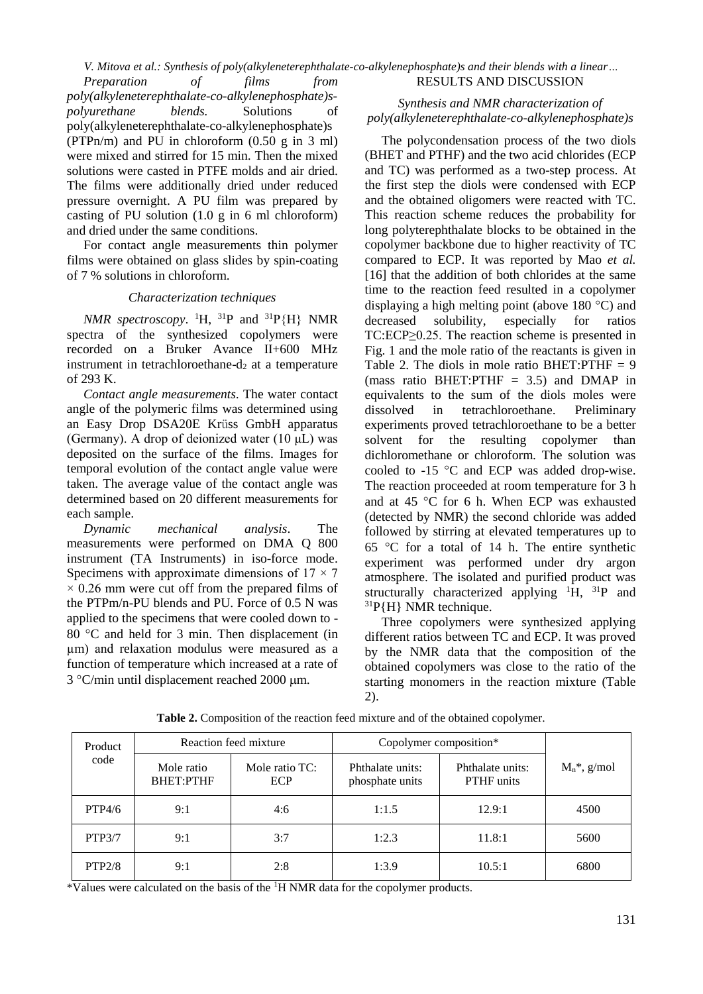*V. Mitova et al.: Synthesis of poly(alkyleneterephthalаte-co-alkylenephosphate)s and their blends with a linear… Preparation of films from*  RESULTS AND DISCUSSION

*poly(alkyleneterephthalаte-co-alkylenephosphate)spolyurethane blends*. Solutions of poly(alkyleneterephthalаte-co-alkylenephosphate)s (PTPn/m) and PU in chloroform (0.50 g in 3 ml) were mixed and stirred for 15 min. Then the mixed solutions were casted in PTFE molds and air dried. The films were additionally dried under reduced pressure overnight. A PU film was prepared by casting of PU solution  $(1.0 \text{ g in } 6 \text{ ml chloroform})$ and dried under the same conditions.

For contact angle measurements thin polymer films were obtained on glass slides by spin-coating of 7 % solutions in chloroform.

#### *Characterization techniques*

*NMR spectroscopy*. <sup>1</sup>H, <sup>31</sup>P and <sup>31</sup>P{H} NMR spectra of the synthesized copolymers were recorded on a Bruker Avance II+600 MHz instrument in tetrachloroethane- $d_2$  at a temperature of 293 K.

*Contact angle measurements.* The water contact angle of the polymeric films was determined using an Easy Drop DSA20E Krüss GmbH apparatus (Germany). A drop of deionized water (10 μL) was deposited on the surface of the films. Images for temporal evolution of the contact angle value were taken. The average value of the contact angle was determined based on 20 different measurements for each sample.

*Dynamic mechanical analysis*. The measurements were performed on DMA Q 800 instrument (TA Instruments) in iso-force mode. Specimens with approximate dimensions of  $17 \times 7$  $\times$  0.26 mm were cut off from the prepared films of the PTPm/n-PU blends and PU. Force of 0.5 N was applied to the specimens that were cooled down to - 80  $\degree$ C and held for 3 min. Then displacement (in µm) and relaxation modulus were measured as a function of temperature which increased at a rate of  $3 °C/min$  until displacement reached 2000  $\mu$ m.

## *Synthesis and NMR characterization of poly(alkyleneterephthalate-co-alkylenephosphate)s*

The polycondensation process of the two diols (BHET and PTHF) and the two acid chlorides (ECP and TC) was performed as a two-step process. At the first step the diols were condensed with ECP and the obtained oligomers were reacted with TC. This reaction scheme reduces the probability for long polyterephthalate blocks to be obtained in the copolymer backbone due to higher reactivity of TC compared to ECP. It was reported by Mao *et al.* [16] that the addition of both chlorides at the same time to the reaction feed resulted in a copolymer displaying a high melting point (above 180  $^{\circ}$ C) and decreased solubility, especially for ratios TC:ECP≥0.25. The reaction scheme is presented in Fig. 1 and the mole ratio of the reactants is given in Table 2. The diols in mole ratio BHET:  $PTHF = 9$ (mass ratio BHET:PTHF  $= 3.5$ ) and DMAP in equivalents to the sum of the diols moles were dissolved in tetrachloroethane. Preliminary experiments proved tetrachloroethane to be a better solvent for the resulting copolymer than dichloromethane or chloroform. The solution was cooled to  $-15$  °C and ECP was added drop-wise. The reaction proceeded at room temperature for 3 h and at 45  $\degree$ C for 6 h. When ECP was exhausted (detected by NMR) the second chloride was added followed by stirring at elevated temperatures up to 65  $\degree$ C for a total of 14 h. The entire synthetic experiment was performed under dry argon atmosphere. The isolated and purified product was structurally characterized applying  $H$ ,  ${}^{31}P$  and  $^{31}P\{H\}$  NMR technique.

Three copolymers were synthesized applying different ratios between TC and ECP. It was proved by the NMR data that the composition of the obtained copolymers was close to the ratio of the starting monomers in the reaction mixture (Table 2).

| Product<br>code | Reaction feed mixture          |                       | Copolymer composition*              |                                |                 |
|-----------------|--------------------------------|-----------------------|-------------------------------------|--------------------------------|-----------------|
|                 | Mole ratio<br><b>BHET:PTHF</b> | Mole ratio TC:<br>ECP | Phthalate units:<br>phosphate units | Phthalate units:<br>PTHF units | $M_n^*$ , g/mol |
| PTP4/6          | 9:1                            | 4:6                   | 1:1.5                               | 12.9:1                         | 4500            |
| <b>PTP3/7</b>   | 9:1                            | 3:7                   | 1:2.3                               | 11.8:1                         | 5600            |
| PTP2/8          | 9:1                            | 2:8                   | 1:3.9                               | 10.5:1                         | 6800            |

**Table 2.** Composition of the reaction feed mixture and of the obtained copolymer.

\*Values were calculated on the basis of the 1H NMR data for the copolymer products.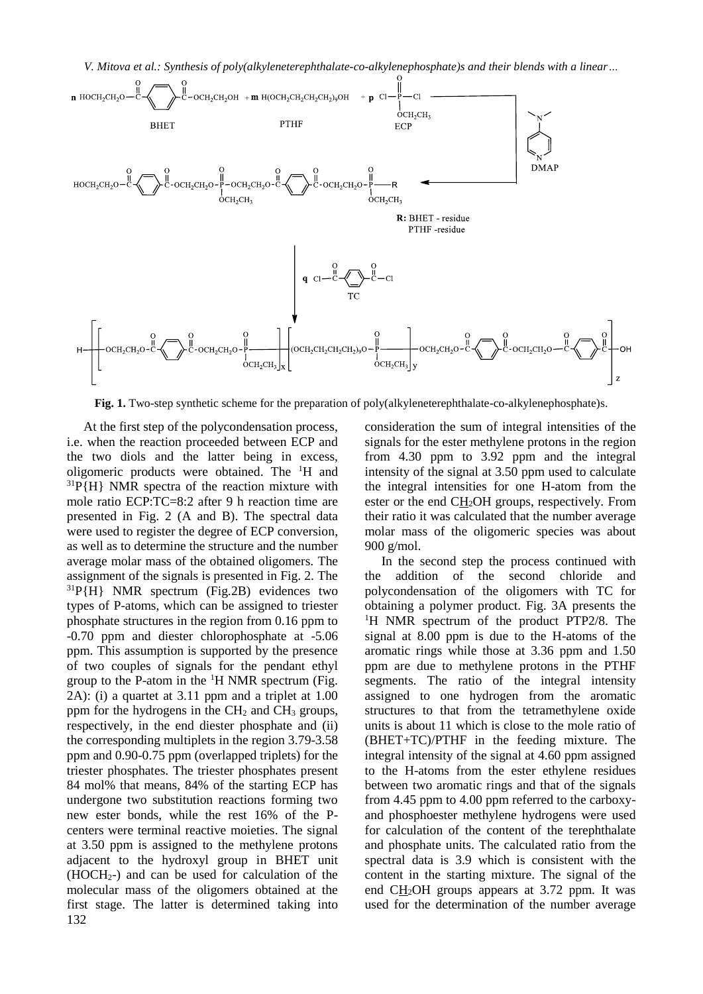

**Fig. 1.** Two-step synthetic scheme for the preparation of poly(alkyleneterephthalate-co-alkylenephosphate)s.

132 At the first step of the polycondensation process, i.e. when the reaction proceeded between ECP and the two diols and the latter being in excess, oligomeric products were obtained. The <sup>1</sup>H and  $31P\{H\}$  NMR spectra of the reaction mixture with mole ratio ECP:TC=8:2 after 9 h reaction time are presented in Fig. 2 (A and B). The spectral data were used to register the degree of ECP conversion, as well as to determine the structure and the number average molar mass of the obtained oligomers. The assignment of the signals is presented in Fig. 2. The  $^{31}P\{H\}$  NMR spectrum (Fig.2B) evidences two types of P-atoms, which can be assigned to triester phosphate structures in the region from 0.16 ppm to -0.70 ppm and diester chlorophosphate at -5.06 ppm. This assumption is supported by the presence of two couples of signals for the pendant ethyl group to the P-atom in the  ${}^{1}H$  NMR spectrum (Fig. 2A): (i) a quartet at 3.11 ppm and a triplet at 1.00 ppm for the hydrogens in the  $CH<sub>2</sub>$  and  $CH<sub>3</sub>$  groups, respectively, in the end diester phosphate and (ii) the corresponding multiplets in the region 3.79-3.58 ppm and 0.90-0.75 ppm (overlapped triplets) for the triester phosphates. The triester phosphates present 84 mol% that means, 84% of the starting ECP has undergone two substitution reactions forming two new ester bonds, while the rest 16% of the Pcenters were terminal reactive moieties. The signal at 3.50 ppm is assigned to the methylene protons adjacent to the hydroxyl group in BHET unit (HOCH2-) and can be used for calculation of the molecular mass of the oligomers obtained at the first stage. The latter is determined taking into

consideration the sum of integral intensities of the signals for the ester methylene protons in the region from 4.30 ppm to 3.92 ppm and the integral intensity of the signal at 3.50 ppm used to calculate the integral intensities for one H-atom from the ester or the end CH2OH groups, respectively. From their ratio it was calculated that the number average molar mass of the oligomeric species was about 900 g/mol.

In the second step the process continued with the addition of the second chloride and polycondensation of the oligomers with TC for obtaining a polymer product. Fig. 3A presents the <sup>1</sup>H NMR spectrum of the product PTP2/8. The signal at 8.00 ppm is due to the H-atoms of the aromatic rings while those at 3.36 ppm and 1.50 ppm are due to methylene protons in the PTHF segments. The ratio of the integral intensity assigned to one hydrogen from the aromatic structures to that from the tetramethylene oxide units is about 11 which is close to the mole ratio of (BHET+TC)/PTHF in the feeding mixture. The integral intensity of the signal at 4.60 ppm assigned to the H-atoms from the ester ethylene residues between two aromatic rings and that of the signals from 4.45 ppm to 4.00 ppm referred to the carboxyand phosphoester methylene hydrogens were used for calculation of the content of the terephthalate and phosphate units. The calculated ratio from the spectral data is 3.9 which is consistent with the content in the starting mixture. The signal of the end CH2OH groups appears at 3.72 ppm. It was used for the determination of the number average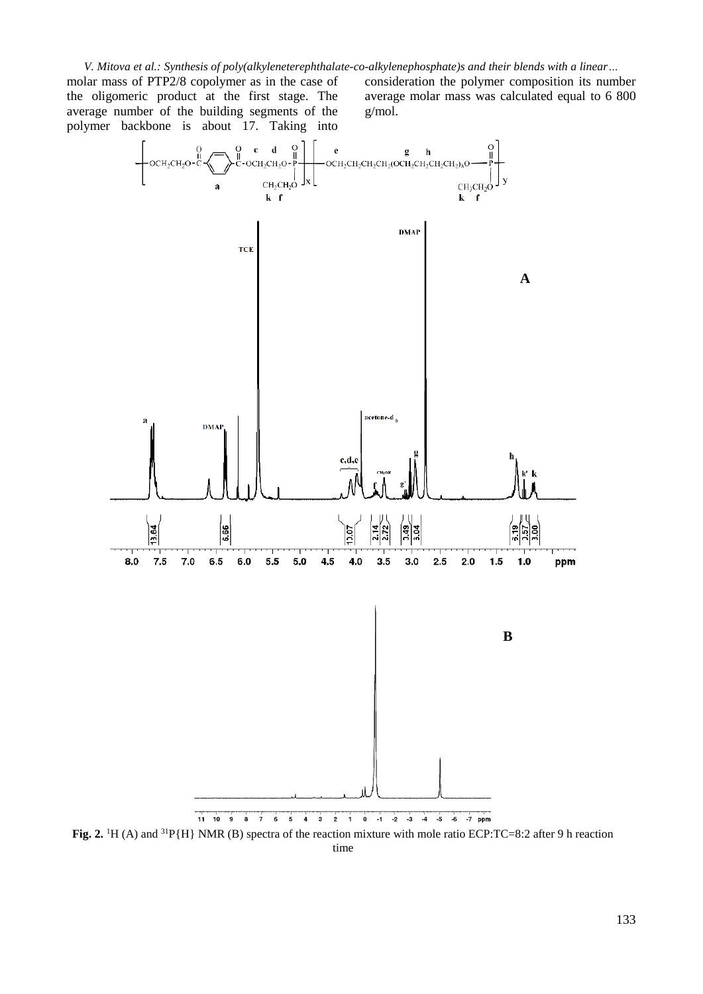*V. Mitova et al.: Synthesis of poly(alkyleneterephthalаte-co-alkylenephosphate)s and their blends with a linear…*

molar mass of PTP2/8 copolymer as in the case of the oligomeric product at the first stage. The average number of the building segments of the polymer backbone is about 17. Taking into

consideration the polymer composition its number average molar mass was calculated equal to 6 800 g/mol.

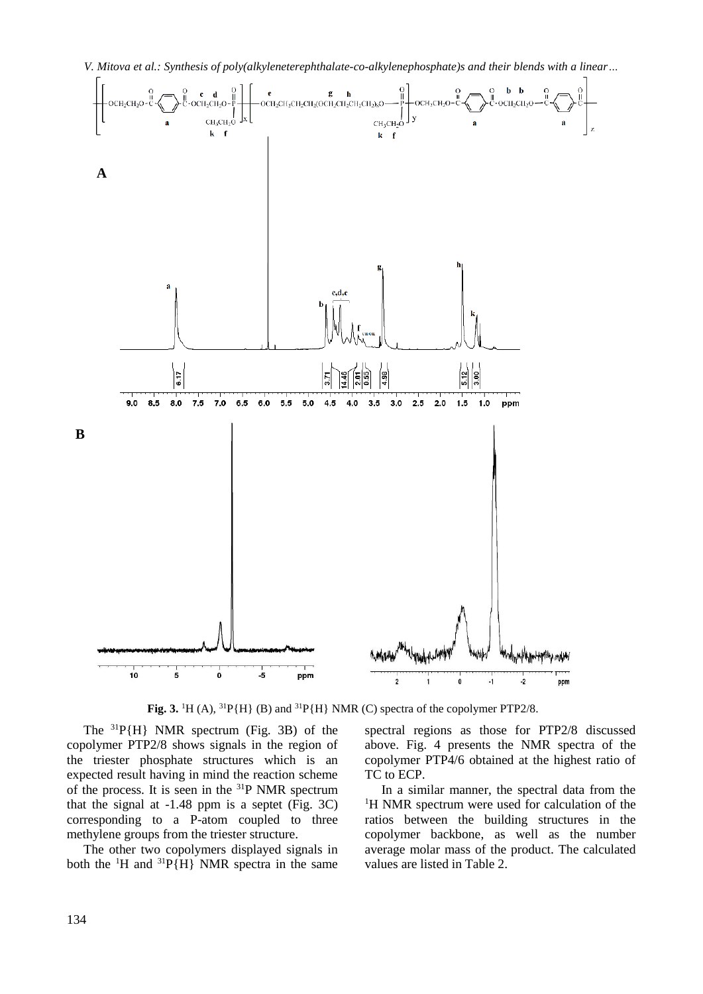

**Fig. 3.** <sup>1</sup>H (A), <sup>31</sup>P{H} (B) and <sup>31</sup>P{H} NMR (C) spectra of the copolymer PTP2/8.

The  ${}^{31}P\{H\}$  NMR spectrum (Fig. 3B) of the copolymer PTP2/8 shows signals in the region of the triester phosphate structures which is an expected result having in mind the reaction scheme of the process. It is seen in the <sup>31</sup>P NMR spectrum that the signal at -1.48 ppm is a septet (Fig. 3C) corresponding to a P-atom coupled to three methylene groups from the triester structure.

The other two copolymers displayed signals in both the  ${}^{1}H$  and  ${}^{31}P\{H\}$  NMR spectra in the same spectral regions as those for PTP2/8 discussed above. Fig. 4 presents the NMR spectra of the copolymer PTP4/6 obtained at the highest ratio of TC to ECP.

In a similar manner, the spectral data from the <sup>1</sup>H NMR spectrum were used for calculation of the ratios between the building structures in the copolymer backbone, as well as the number average molar mass of the product. The calculated values are listed in Table 2.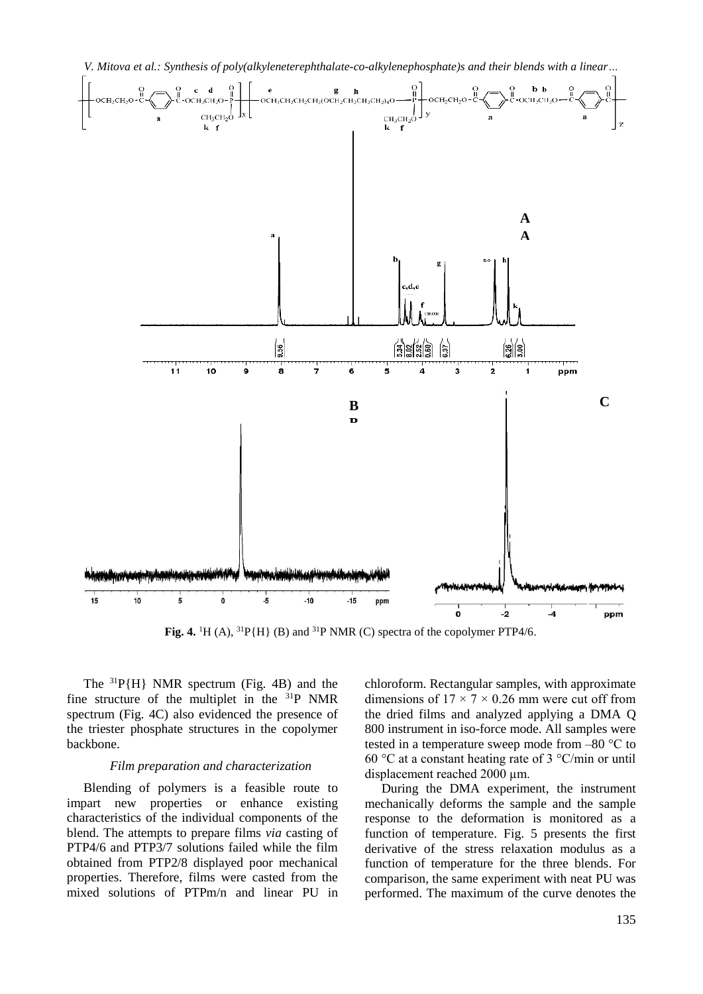

**Fig. 4.** <sup>1</sup>H (A), <sup>31</sup>P{H} (B) and <sup>31</sup>P NMR (C) spectra of the copolymer PTP4/6.

The <sup>31</sup>P{H} NMR spectrum (Fig. 4B) and the fine structure of the multiplet in the  $31P$  NMR spectrum (Fig. 4C) also evidenced the presence of the triester phosphate structures in the copolymer backbone.

#### *Film preparation and characterization*

Blending of polymers is a feasible route to impart new properties or enhance existing characteristics of the individual components of the blend. The attempts to prepare films *via* casting of PTP4/6 and PTP3/7 solutions failed while the film obtained from PTP2/8 displayed poor mechanical properties. Therefore, films were casted from the mixed solutions of PTPm/n and linear PU in chloroform. Rectangular samples, with approximate dimensions of  $17 \times 7 \times 0.26$  mm were cut off from the dried films and analyzed applying a DMA Q 800 instrument in iso-force mode. All samples were tested in a temperature sweep mode from –80 °C to 60 °C at a constant heating rate of 3 °C/min or until displacement reached 2000 µm.

During the DMA experiment, the instrument mechanically deforms the sample and the sample response to the deformation is monitored as a function of temperature. Fig. 5 presents the first derivative of the stress relaxation modulus as a function of temperature for the three blends. For comparison, the same experiment with neat PU was performed. The maximum of the curve denotes the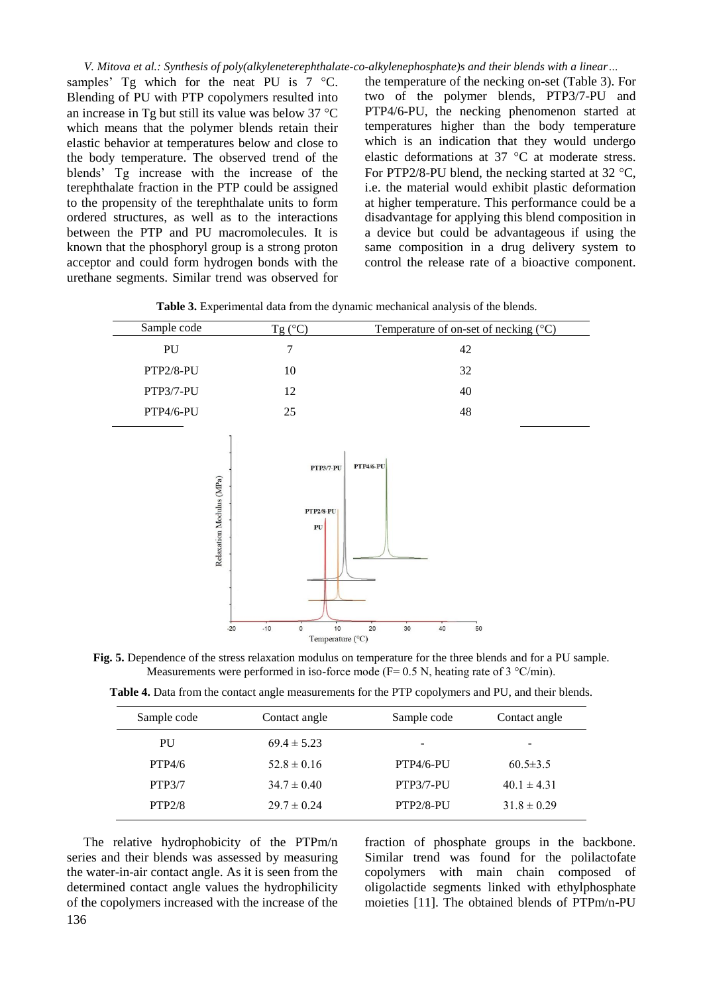*V. Mitova et al.: Synthesis of poly(alkyleneterephthalаte-co-alkylenephosphate)s and their blends with a linear…*

samples' Tg which for the neat PU is  $7 \text{ °C}$ . Blending of PU with PTP copolymers resulted into an increase in Tg but still its value was below  $37^{\circ}$ C which means that the polymer blends retain their elastic behavior at temperatures below and close to the body temperature. The observed trend of the blends' Tg increase with the increase of the terephthalate fraction in the PTP could be assigned to the propensity of the terephthalate units to form ordered structures, as well as to the interactions between the PTP and PU macromolecules. It is known that the phosphoryl group is a strong proton acceptor and could form hydrogen bonds with the urethane segments. Similar trend was observed for the temperature of the necking on-set (Table 3). For two of the polymer blends, PTP3/7-PU and PTP4/6-PU, the necking phenomenon started at temperatures higher than the body temperature which is an indication that they would undergo elastic deformations at  $37^{\circ}$ C at moderate stress. For PTP2/8-PU blend, the necking started at  $32 \text{ °C}$ , i.e. the material would exhibit plastic deformation at higher temperature. This performance could be a disadvantage for applying this blend composition in a device but could be advantageous if using the same composition in a drug delivery system to control the release rate of a bioactive component.

**Table 3.** Experimental data from the dynamic mechanical analysis of the blends.

| Sample code | $Tg(^{\circ}C)$ | Temperature of on-set of necking $(°C)$ |
|-------------|-----------------|-----------------------------------------|
| PU          |                 | 42                                      |
| PTP2/8-PU   | 10              | 32                                      |
| PTP3/7-PU   | 12              | 40                                      |
| PTP4/6-PU   | 25              | 48                                      |



**Fig. 5.** Dependence of the stress relaxation modulus on temperature for the three blends and for a PU sample. Measurements were performed in iso-force mode (F= 0.5 N, heating rate of 3  $\degree$ C/min).

**Table 4.** Data from the contact angle measurements for the PTP copolymers and PU, and their blends.

| Sample code | Contact angle   | Sample code  | Contact angle   |
|-------------|-----------------|--------------|-----------------|
| PU          | $69.4 \pm 5.23$ | -            | ۰               |
| PTP4/6      | $52.8 \pm 0.16$ | $PTP4/6-PIJ$ | $60.5 \pm 3.5$  |
| PTP3/7      | $34.7 \pm 0.40$ | PTP3/7-PU    | $40.1 \pm 4.31$ |
| PTP2/8      | $29.7 \pm 0.24$ | $PTP2/8-PIJ$ | $31.8 \pm 0.29$ |

The relative hydrophobicity of the PTPm/n series and their blends was assessed by measuring the water-in-air contact angle. As it is seen from the determined contact angle values the hydrophilicity of the copolymers increased with the increase of the fraction of phosphate groups in the backbone. Similar trend was found for the polilactofate copolymers with main chain composed of oligolactide segments linked with ethylphosphate moieties [11]. The obtained blends of PTPm/n-PU